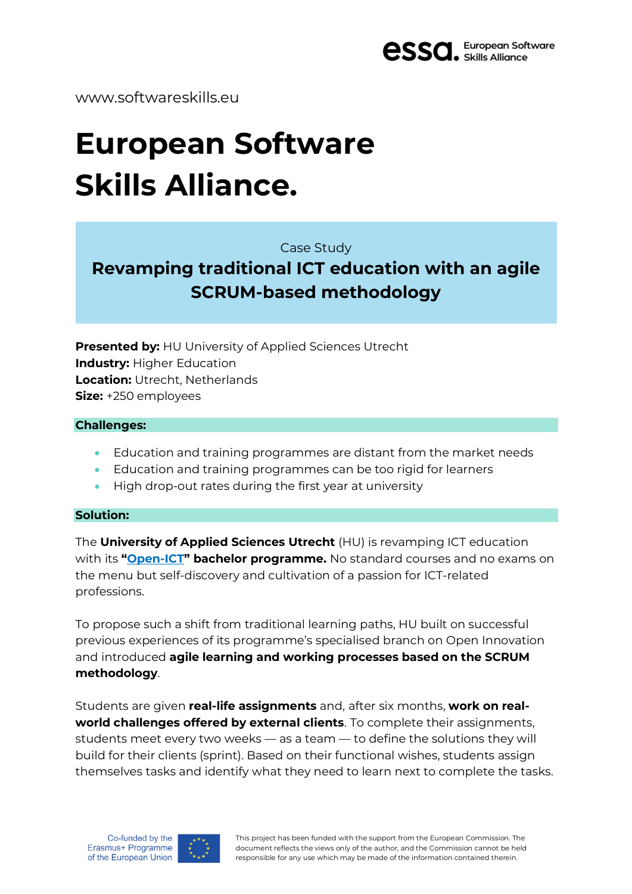

www.softwareskills.eu

# **European Software Skills Alliance.**

Case Study

## **Revamping traditional ICT education with an agile SCRUM-based methodology**

**Presented by:** HU University of Applied Sciences Utrecht **Industry:** Higher Education **Location:** Utrecht, Netherlands **Size:** +250 employees

#### **Challenges:**

- Education and training programmes are distant from the market needs
- Education and training programmes can be too rigid for learners
- High drop-out rates during the first year at university

#### **Solution:**

The **University of Applied Sciences Utrecht** (HU) is revamping ICT education with its **"[Open-ICT](https://husite.nl/open-ict/)" bachelor programme.** No standard courses and no exams on the menu but self-discovery and cultivation of a passion for ICT-related professions.

To propose such a shift from traditional learning paths, HU built on successful previous experiences of its programme's specialised branch on Open Innovation and introduced **agile learning and working processes based on the SCRUM methodology**.

Students are given **real-life assignments** and, after six months, **work on realworld challenges offered by external clients**. To complete their assignments, students meet every two weeks — as a team — to define the solutions they will build for their clients (sprint). Based on their functional wishes, students assign themselves tasks and identify what they need to learn next to complete the tasks.